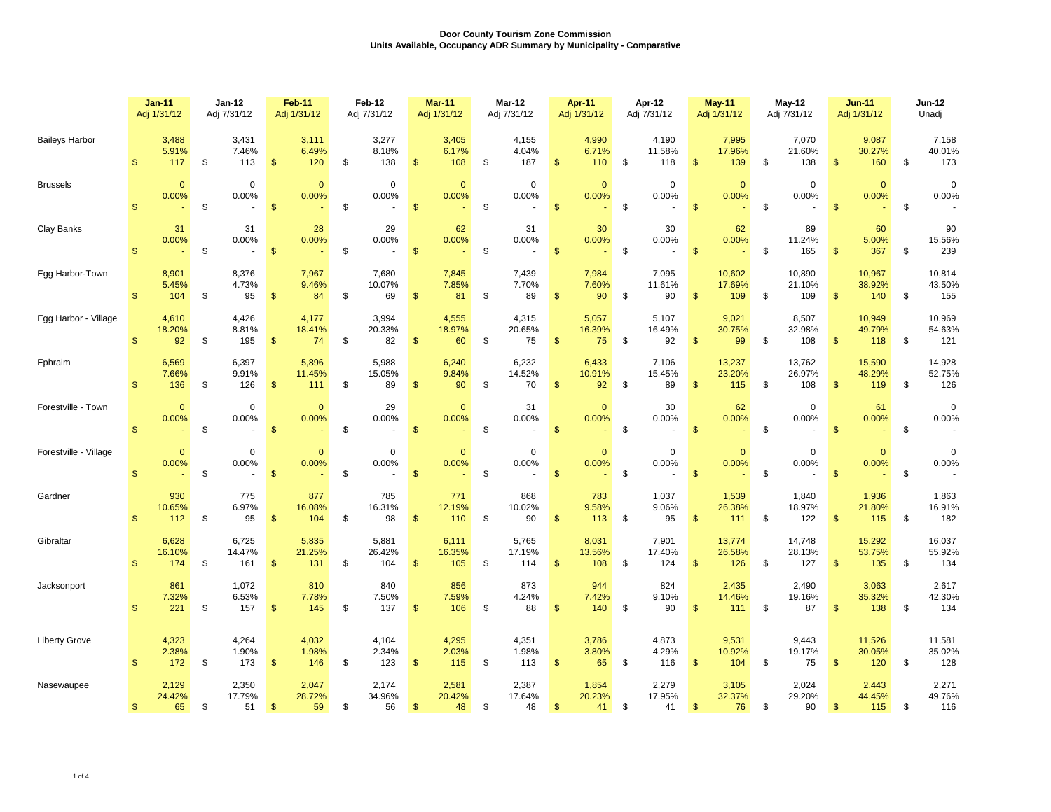|                       | <b>Jan-11</b><br>Adj 1/31/12 |                        | Jan-12<br>Adj 7/31/12 |                        | Feb-11<br>Adj 1/31/12 |                        | Feb-12<br>Adj 7/31/12 |                        | Mar-11<br>Adj 1/31/12 |                        | Mar-12<br>Adj 7/31/12 |                        | Apr-11<br>Adj 1/31/12 |                        | Apr-12<br>Adj 7/31/12 |                        | May-11<br>Adj 1/31/12 |                          | May-12<br>Adj 7/31/12 |                         | <b>Jun-11</b><br>Adj 1/31/12 |                         | Jun-12<br>Unadj |                         |
|-----------------------|------------------------------|------------------------|-----------------------|------------------------|-----------------------|------------------------|-----------------------|------------------------|-----------------------|------------------------|-----------------------|------------------------|-----------------------|------------------------|-----------------------|------------------------|-----------------------|--------------------------|-----------------------|-------------------------|------------------------------|-------------------------|-----------------|-------------------------|
| <b>Baileys Harbor</b> | \$                           | 3,488<br>5.91%<br>117  | \$                    | 3,431<br>7.46%<br>113  | \$                    | 3,111<br>6.49%<br>120  | \$                    | 3,277<br>8.18%<br>138  | <sup>\$</sup>         | 3,405<br>6.17%<br>108  | -\$                   | 4,155<br>4.04%<br>187  | \$                    | 4,990<br>6.71%<br>110  | - \$                  | 4,190<br>11.58%<br>118 | $\mathfrak{s}$        | 7,995<br>17.96%<br>139   | \$                    | 7,070<br>21.60%<br>138  | $\mathfrak{s}$               | 9,087<br>30.27%<br>160  | \$              | 7,158<br>40.01%<br>173  |
| <b>Brussels</b>       | $\mathbf{\$}$                | $\mathbf{0}$<br>0.00%  | \$                    | $\mathbf 0$<br>0.00%   | $\mathbf{\$}$         | $\mathbf{0}$<br>0.00%  | \$                    | $\mathbf 0$<br>0.00%   | $\mathbf{\$}$         | $\mathbf{0}$<br>0.00%  | \$                    | $\mathbf 0$<br>0.00%   | $\mathfrak{s}$        | $\mathbf{0}$<br>0.00%  | \$                    | $\mathbf 0$<br>0.00%   | $\mathfrak{s}$        | $\mathbf{0}$<br>0.00%    | \$                    | $\mathbf 0$<br>0.00%    | $\mathbf{s}$                 | $\Omega$<br>0.00%       | \$              | $\mathbf 0$<br>0.00%    |
| Clay Banks            | $\mathfrak{s}$               | 31<br>0.00%            | \$                    | 31<br>0.00%<br>$\sim$  | $\mathbf{\$}$         | 28<br>0.00%            | \$                    | 29<br>0.00%            | $\sqrt[6]{3}$         | 62<br>0.00%            | \$                    | 31<br>0.00%            | $\mathfrak{s}$        | 30<br>0.00%            | \$                    | 30<br>0.00%            | $\mathfrak{s}$        | 62<br>0.00%              | \$                    | 89<br>11.24%<br>165     | $\mathfrak{s}$               | 60<br>5.00%<br>367      | \$              | 90<br>15.56%<br>239     |
| Egg Harbor-Town       | $\mathbb{S}$                 | 8,901<br>5.45%<br>104  | -\$                   | 8,376<br>4.73%<br>95   | $\sqrt{2}$            | 7,967<br>9.46%<br>84   | \$                    | 7,680<br>10.07%<br>69  | $\mathfrak{s}$        | 7,845<br>7.85%<br>81   | \$                    | 7,439<br>7.70%<br>89   | $\mathfrak{s}$        | 7,984<br>7.60%<br>90   | - \$                  | 7,095<br>11.61%<br>90  | $\mathfrak{s}$        | 10,602<br>17.69%<br>109  | \$                    | 10,890<br>21.10%<br>109 | $\mathfrak{s}$               | 10,967<br>38.92%<br>140 | \$              | 10,814<br>43.50%<br>155 |
| Egg Harbor - Village  | $\mathbb{S}$                 | 4,610<br>18.20%<br>92  | \$                    | 4,426<br>8.81%<br>195  | $\sqrt{2}$            | 4,177<br>18.41%<br>74  | \$                    | 3,994<br>20.33%<br>82  | $\mathsf{\$}$         | 4,555<br>18.97%<br>60  | \$                    | 4,315<br>20.65%<br>75  | \$                    | 5,057<br>16.39%<br>75  | \$                    | 5,107<br>16.49%<br>92  | $\frac{3}{2}$         | 9,021<br>30.75%<br>99    | \$                    | 8,507<br>32.98%<br>108  | $\sqrt[6]{3}$                | 10,949<br>49.79%<br>118 | \$              | 10,969<br>54.63%<br>121 |
| Ephraim               | \$                           | 6,569<br>7.66%<br>136  | \$                    | 6,397<br>9.91%<br>126  | $\mathfrak{s}$        | 5,896<br>11.45%<br>111 | \$                    | 5,988<br>15.05%<br>89  | $\mathfrak{s}$        | 6,240<br>9.84%<br>90   | \$                    | 6,232<br>14.52%<br>70  | $\mathfrak{s}$        | 6,433<br>10.91%<br>92  | - \$                  | 7,106<br>15.45%<br>89  | $\mathfrak{s}$        | 13,237<br>23.20%<br>115  | \$                    | 13,762<br>26.97%<br>108 | $\mathbf{s}$                 | 15,590<br>48.29%<br>119 | \$              | 14,928<br>52.75%<br>126 |
| Forestville - Town    | $\mathfrak{s}$               | $\mathbf{0}$<br>0.00%  | \$                    | $\mathbf 0$<br>0.00%   | $\mathfrak{s}$        | $\mathbf{0}$<br>0.00%  | \$                    | 29<br>0.00%            | $\mathfrak{S}$        | $\mathbf{0}$<br>0.00%  | \$                    | 31<br>0.00%            | $\mathbf{\$}$         | $\mathbf{0}$<br>0.00%  | \$                    | 30<br>0.00%            | $\mathfrak{s}$        | 62<br>0.00%              | \$                    | $\mathbf 0$<br>0.00%    | $\mathfrak{s}$               | 61<br>0.00%             | \$              | $\mathbf 0$<br>0.00%    |
| Forestville - Village | $\mathbf{\$}$                | $\mathbf{0}$<br>0.00%  | \$                    | $\mathbf 0$<br>0.00%   | $\mathfrak{S}$        | $\mathbf{0}$<br>0.00%  | \$                    | 0<br>0.00%             | $\frac{1}{2}$         | $\mathbf{0}$<br>0.00%  | \$                    | $\pmb{0}$<br>0.00%     | $\mathfrak{s}$        | $\mathbf 0$<br>0.00%   | \$                    | $\mathbf 0$<br>0.00%   | \$                    | $\mathbf{0}$<br>0.00%    | \$                    | $\mathbf 0$<br>0.00%    | $\mathbb{S}$                 | $\mathbf{0}$<br>0.00%   | \$              | $\mathbf 0$<br>0.00%    |
| Gardner               | $\mathbf{s}$                 | 930<br>10.65%<br>112   | \$                    | 775<br>6.97%<br>95     | $\mathfrak{S}$        | 877<br>16.08%<br>104   | \$                    | 785<br>16.31%<br>98    | $\mathbf{s}$          | 771<br>12.19%<br>110   | \$                    | 868<br>10.02%<br>90    | $\mathsf{\$}$         | 783<br>9.58%<br>113    | \$                    | 1,037<br>9.06%<br>95   | $\mathfrak{s}$        | 1,539<br>26.38%<br>$111$ | \$                    | 1,840<br>18.97%<br>122  | $\mathfrak{s}$               | 1,936<br>21.80%<br>115  | \$              | 1,863<br>16.91%<br>182  |
| Gibraltar             | $\mathfrak{s}$               | 6,628<br>16.10%<br>174 | \$                    | 6,725<br>14.47%<br>161 | $\mathbf{\$}$         | 5,835<br>21.25%<br>131 | \$                    | 5,881<br>26.42%<br>104 | $\mathbf{\$}$         | 6,111<br>16.35%<br>105 | \$                    | 5,765<br>17.19%<br>114 | $\mathfrak{s}$        | 8,031<br>13.56%<br>108 | \$                    | 7,901<br>17.40%<br>124 | \$                    | 13,774<br>26.58%<br>126  | \$                    | 14,748<br>28.13%<br>127 | \$                           | 15,292<br>53.75%<br>135 | \$              | 16,037<br>55.92%<br>134 |
| Jacksonport           | \$                           | 861<br>7.32%<br>221    | \$                    | 1,072<br>6.53%<br>157  | $\mathfrak{s}$        | 810<br>7.78%<br>145    | \$                    | 840<br>7.50%<br>137    | \$                    | 856<br>7.59%<br>106    | \$                    | 873<br>4.24%<br>88     | $\mathfrak{s}$        | 944<br>7.42%<br>140    | - \$                  | 824<br>9.10%<br>90     | <sub>\$</sub>         | 2,435<br>14.46%<br>111   | \$                    | 2,490<br>19.16%<br>87   | \$                           | 3,063<br>35.32%<br>138  | \$              | 2,617<br>42.30%<br>134  |
| <b>Liberty Grove</b>  | \$                           | 4,323<br>2.38%<br>172  | \$                    | 4,264<br>1.90%<br>173  | $\mathbf{\$}$         | 4,032<br>1.98%<br>146  | \$                    | 4,104<br>2.34%<br>123  | $\mathbf{\$}$         | 4,295<br>2.03%<br>115  | \$                    | 4,351<br>1.98%<br>113  | $\mathfrak{s}$        | 3,786<br>3.80%<br>65   | \$                    | 4,873<br>4.29%<br>116  | $\mathbf{\$}$         | 9,531<br>10.92%<br>104   | \$                    | 9,443<br>19.17%<br>75   | \$                           | 11,526<br>30.05%<br>120 | \$              | 11,581<br>35.02%<br>128 |
| Nasewaupee            | $\mathfrak{S}$               | 2,129<br>24.42%<br>65  | \$                    | 2,350<br>17.79%<br>51  | \$                    | 2,047<br>28.72%<br>59  | \$                    | 2,174<br>34.96%<br>56  | <sup>\$</sup>         | 2,581<br>20.42%<br>48  | \$                    | 2,387<br>17.64%<br>48  | $\mathfrak{s}$        | 1,854<br>20.23%<br>41  | \$                    | 2,279<br>17.95%<br>41  | \$                    | 3,105<br>32.37%<br>76    | \$                    | 2,024<br>29.20%<br>90   | $\mathfrak{s}$               | 2,443<br>44.45%<br>115  | \$              | 2,271<br>49.76%<br>116  |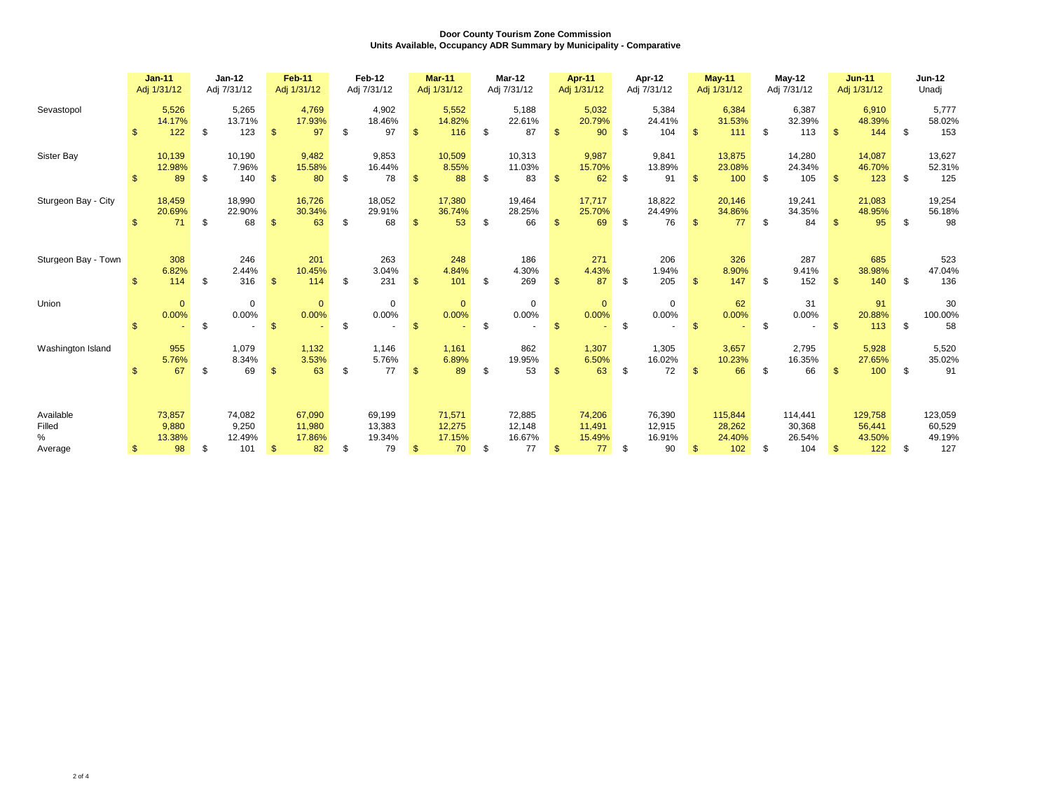|                                     | $Jan-11$<br>Adj 1/31/12 |                                 | Jan-12<br>Adj 7/31/12 |                                  | <b>Feb-11</b><br>Adj 1/31/12 |                                  | Feb-12<br>Adj 7/31/12 |                                  | <b>Mar-11</b><br>Adj 1/31/12 |                                  | Mar-12<br>Adj 7/31/12 |                                  | Apr-11<br>Adj 1/31/12 |                                  | Apr-12<br>Adj 7/31/12 |                                  | <b>May-11</b><br>Adj 1/31/12 |                                    | $May-12$<br>Adj 7/31/12 |                                    | $Jun-11$<br>Adj 1/31/12 |                                    | <b>Jun-12</b><br>Unadi |                                    |
|-------------------------------------|-------------------------|---------------------------------|-----------------------|----------------------------------|------------------------------|----------------------------------|-----------------------|----------------------------------|------------------------------|----------------------------------|-----------------------|----------------------------------|-----------------------|----------------------------------|-----------------------|----------------------------------|------------------------------|------------------------------------|-------------------------|------------------------------------|-------------------------|------------------------------------|------------------------|------------------------------------|
| Sevastopol                          | $\mathfrak{s}$          | 5,526<br>14.17%<br>122          | \$                    | 5,265<br>13.71%<br>123           | $\mathfrak{s}$               | 4,769<br>17.93%<br>97            | \$                    | 4,902<br>18.46%<br>97            | $\mathbf{s}$                 | 5,552<br>14.82%<br>116           | \$                    | 5,188<br>22.61%<br>87            |                       | 5,032<br>20.79%<br>90            | -\$                   | 5,384<br>24.41%<br>104           | $\mathbb{S}$                 | 6,384<br>31.53%<br>111             | \$                      | 6,387<br>32.39%<br>113             | $\mathbf{\$}$           | 6,910<br>48.39%<br>144             | -S                     | 5,777<br>58.02%<br>153             |
| Sister Bay                          |                         | 10,139<br>12.98%<br>89          | \$                    | 10,190<br>7.96%<br>140           | $\mathsf{\$}$                | 9,482<br>15.58%<br>80            | \$                    | 9,853<br>16.44%<br>78            | $\mathbb{S}$                 | 10,509<br>8.55%<br>88            | \$                    | 10,313<br>11.03%<br>83           | $\mathbf{s}$          | 9,987<br>15.70%<br>62            | - \$                  | 9,841<br>13.89%<br>91            | $\mathsf{\$}$                | 13,875<br>23.08%<br>100            | \$                      | 14,280<br>24.34%<br>105            | $\mathbf{\$}$           | 14,087<br>46.70%<br>123            | \$                     | 13,627<br>52.31%<br>125            |
| Sturgeon Bay - City                 | $\mathbf{\hat{f}}$      | 18,459<br>20.69%<br>71          | \$                    | 18,990<br>22.90%<br>68           | $\mathfrak{s}$               | 16,726<br>30.34%<br>63           | \$                    | 18,052<br>29.91%<br>68           | $\mathfrak{s}$               | 17,380<br>36.74%<br>53           | \$                    | 19,464<br>28.25%<br>66           |                       | 17,717<br>25.70%<br>69           | -\$                   | 18,822<br>24.49%<br>76           | $\mathfrak{s}$               | 20,146<br>34.86%<br>77             | \$                      | 19,241<br>34.35%<br>84             | £.                      | 21,083<br>48.95%<br>95             | \$.                    | 19,254<br>56.18%<br>98             |
| Sturgeon Bay - Town                 | \$                      | 308<br>6.82%<br>114             | \$                    | 246<br>2.44%<br>316              | $\mathsf{\$}$                | 201<br>10.45%<br>114             | \$                    | 263<br>3.04%<br>231              | $\mathbf{s}$                 | 248<br>4.84%<br>101              | \$                    | 186<br>4.30%<br>269              | $\mathfrak{s}$        | 271<br>4.43%<br>87               | \$                    | 206<br>1.94%<br>205              | $\mathbb{S}$                 | 326<br>8.90%<br>147                | \$                      | 287<br>9.41%<br>152                | $\mathbf{s}$            | 685<br>38.98%<br>140               | \$                     | 523<br>47.04%<br>136               |
| Union                               |                         | $\mathbf{0}$<br>0.00%           | \$                    | $\Omega$<br>0.00%                | $\mathbb{S}$                 | $\mathbf{0}$<br>0.00%            | \$                    | $\Omega$<br>0.00%                | $\mathbb{S}$                 | $\mathbf{0}$<br>0.00%            | \$                    | $\mathbf 0$<br>0.00%             | <sup>\$</sup>         | $\mathbf{0}$<br>0.00%            | \$                    | $\mathbf 0$<br>0.00%             | $\mathbb{S}$                 | 62<br>0.00%                        | \$                      | 31<br>0.00%                        | $\mathfrak{s}$          | 91<br>20.88%<br>113                | \$                     | 30<br>100.00%<br>58                |
| Washington Island                   |                         | 955<br>5.76%<br>67              | \$                    | 1.079<br>8.34%<br>69             | $\mathfrak{s}$               | 1,132<br>3.53%<br>63             | \$                    | 1.146<br>5.76%<br>77             | $\mathfrak{s}$               | 1,161<br>6.89%<br>89             | S.                    | 862<br>19.95%<br>53              |                       | 1,307<br>6.50%<br>63             | -\$                   | 1,305<br>16.02%<br>72            | $\mathfrak{s}$               | 3,657<br>10.23%<br>66              | \$                      | 2,795<br>16.35%<br>66              |                         | 5,928<br>27.65%<br>100             | \$                     | 5,520<br>35.02%<br>91              |
| Available<br>Filled<br>%<br>Average | \$                      | 73,857<br>9,880<br>13.38%<br>98 | \$                    | 74,082<br>9,250<br>12.49%<br>101 | $\mathfrak{s}$               | 67,090<br>11,980<br>17.86%<br>82 | \$                    | 69,199<br>13,383<br>19.34%<br>79 | $\mathbf{s}$                 | 71,571<br>12,275<br>17.15%<br>70 | \$                    | 72,885<br>12,148<br>16.67%<br>77 | $\mathbf{\$}$         | 74,206<br>11,491<br>15.49%<br>77 | $^{\circ}$            | 76,390<br>12,915<br>16.91%<br>90 | \$                           | 115,844<br>28,262<br>24.40%<br>102 | \$                      | 114,441<br>30,368<br>26.54%<br>104 | $\mathbf{\$}$           | 129,758<br>56,441<br>43.50%<br>122 | \$                     | 123,059<br>60,529<br>49.19%<br>127 |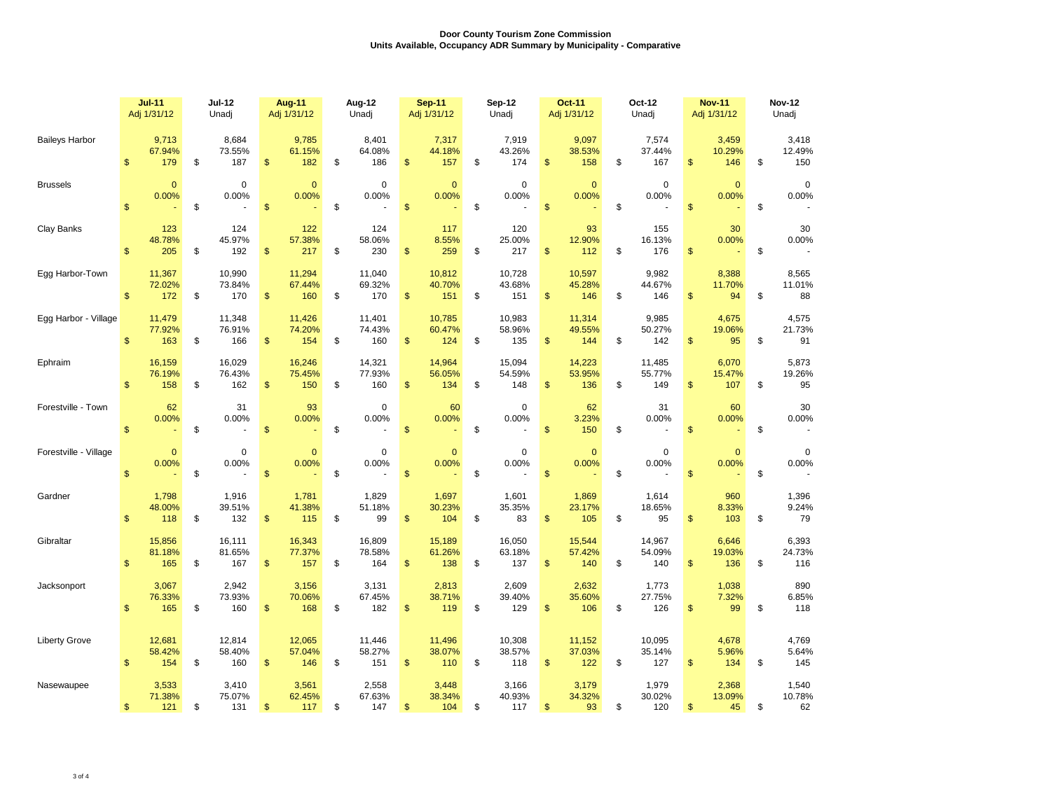|                       | <b>Jul-11</b>                | <b>Jul-12</b>              | Aug-11                     | Aug-12                     | <b>Sep-11</b>             | Sep-12                     | <b>Oct-11</b>                        | Oct-12                     | <b>Nov-11</b>                | <b>Nov-12</b>     |  |  |
|-----------------------|------------------------------|----------------------------|----------------------------|----------------------------|---------------------------|----------------------------|--------------------------------------|----------------------------|------------------------------|-------------------|--|--|
|                       | Adj 1/31/12                  | Unadi                      | Adj 1/31/12                | Unadi                      | Adj 1/31/12               | Unadi                      | Adj 1/31/12                          | Unadj                      | Adj 1/31/12                  | Unadj             |  |  |
| <b>Baileys Harbor</b> | 9,713                        | 8,684                      | 9,785                      | 8,401                      | 7,317                     | 7,919                      | 9,097                                | 7,574                      | 3,459                        | 3,418             |  |  |
|                       | 67.94%                       | 73.55%                     | 61.15%                     | 64.08%                     | 44.18%                    | 43.26%                     | 38.53%                               | 37.44%                     | 10.29%                       | 12.49%            |  |  |
|                       | 179                          | \$                         | 182                        | 186                        | \$                        | 174                        | \$                                   | 167                        | $\mathsf{\$}$                | 150               |  |  |
|                       | \$                           | 187                        | \$                         | \$                         | 157                       | \$                         | 158                                  | \$                         | 146                          | \$                |  |  |
| <b>Brussels</b>       | $\mathbf{0}$                 | $\mathbf 0$                | $\overline{0}$             | $\mathbf 0$                | $\overline{0}$            | 0                          | $\mathbf{0}$                         | $\mathbf 0$                | $\mathbf{0}$                 | $\mathbf 0$       |  |  |
|                       | 0.00%                        | 0.00%                      | 0.00%                      | 0.00%                      | 0.00%                     | 0.00%                      | 0.00%                                | 0.00%                      | 0.00%                        | 0.00%             |  |  |
|                       | $\mathbb{S}$                 | \$                         | \$                         | \$                         | $\mathsf{\$}$             | \$                         | $\mathsf{\$}$                        | \$                         | $\mathsf{\$}$                | \$                |  |  |
| Clay Banks            | 123<br>48.78%<br>205<br>\$   | 124<br>45.97%<br>\$<br>192 | 122<br>57.38%<br>\$<br>217 | 124<br>58.06%<br>\$<br>230 | 117<br>8.55%<br>259<br>\$ | 120<br>25.00%<br>217<br>\$ | 93<br>12.90%<br>$\mathsf{\$}$<br>112 | 155<br>16.13%<br>\$<br>176 | 30<br>0.00%<br>\$            | 30<br>0.00%<br>\$ |  |  |
| Egg Harbor-Town       | 11,367                       | 10,990                     | 11,294                     | 11,040                     | 10,812                    | 10,728                     | 10,597                               | 9,982                      | 8,388                        | 8,565             |  |  |
|                       | 72.02%                       | 73.84%                     | 67.44%                     | 69.32%                     | 40.70%                    | 43.68%                     | 45.28%                               | 44.67%                     | 11.70%                       | 11.01%            |  |  |
|                       | \$                           | 170                        | \$                         | \$                         | \$                        | \$                         | \$                                   | \$                         | \$                           | 88                |  |  |
|                       | 172                          | \$                         | 160                        | 170                        | 151                       | 151                        | 146                                  | 146                        | 94                           | \$                |  |  |
| Egg Harbor - Village  | 11,479                       | 11,348                     | 11,426                     | 11,401                     | 10,785                    | 10,983                     | 11,314                               | 9,985                      | 4,675                        | 4,575             |  |  |
|                       | 77.92%                       | 76.91%                     | 74.20%                     | 74.43%                     | 60.47%                    | 58.96%                     | 49.55%                               | 50.27%                     | 19.06%                       | 21.73%            |  |  |
|                       | $\mathbf{\$}$                | \$                         | $\mathsf{\$}$              | \$                         | \$                        | \$                         | $\mathsf{\$}$                        | \$                         | $\mathsf{\$}$                | \$                |  |  |
|                       | 163                          | 166                        | 154                        | 160                        | 124                       | 135                        | 144                                  | 142                        | 95                           | 91                |  |  |
| Ephraim               | 16,159                       | 16,029                     | 16,246                     | 14,321                     | 14,964                    | 15,094                     | 14,223                               | 11,485                     | 6,070                        | 5,873             |  |  |
|                       | 76.19%                       | 76.43%                     | 75.45%                     | 77.93%                     | 56.05%                    | 54.59%                     | 53.95%                               | 55.77%                     | 15.47%                       | 19.26%            |  |  |
|                       | $\mathbb{S}$                 | \$                         | $\mathsf{\$}$              | \$                         | \$                        | \$                         | $\mathsf{\$}$                        | \$                         | \$                           | \$                |  |  |
|                       | 158                          | 162                        | 150                        | 160                        | 134                       | 148                        | 136                                  | 149                        | 107                          | 95                |  |  |
| Forestville - Town    | 62<br>0.00%<br>$\mathsf{\$}$ | 31<br>0.00%<br>\$          | 93<br>0.00%<br>\$          | $\mathbf 0$<br>0.00%<br>\$ | 60<br>0.00%<br>\$         | $\mathbf 0$<br>0.00%<br>\$ | 62<br>3.23%<br>\$<br>150             | 31<br>0.00%<br>\$          | 60<br>0.00%<br>$\mathsf{\$}$ | 30<br>0.00%<br>\$ |  |  |
| Forestville - Village | $\mathbf{0}$                 | 0                          | $\mathbf{0}$               | 0                          | $\mathbf{0}$              | $\mathbf 0$                | $\mathbf{0}$                         | $\mathbf 0$                | $\mathbf{0}$                 | $\mathbf 0$       |  |  |
|                       | 0.00%                        | 0.00%                      | 0.00%                      | 0.00%                      | 0.00%                     | 0.00%                      | 0.00%                                | 0.00%                      | 0.00%                        | 0.00%             |  |  |
|                       | $\mathsf{\$}$                | \$                         | \$                         | \$                         | \$                        | \$                         | $\mathsf{\$}$                        | \$                         | $\mathfrak{s}$               | \$                |  |  |
| Gardner               | 1,798                        | 1,916                      | 1,781                      | 1,829                      | 1,697                     | 1,601                      | 1,869                                | 1,614                      | 960                          | 1,396             |  |  |
|                       | 48.00%                       | 39.51%                     | 41.38%                     | 51.18%                     | 30.23%                    | 35.35%                     | 23.17%                               | 18.65%                     | 8.33%                        | 9.24%             |  |  |
|                       | $\mathbf{s}$                 | \$                         | \$                         | \$                         | \$                        | \$                         | \$                                   | 95                         | $\mathsf{\$}$                | 79                |  |  |
|                       | 118                          | 132                        | 115                        | 99                         | 104                       | 83                         | 105                                  | \$                         | 103                          | \$                |  |  |
| Gibraltar             | 15,856                       | 16,111                     | 16,343                     | 16,809                     | 15,189                    | 16,050                     | 15,544                               | 14,967                     | 6,646                        | 6,393             |  |  |
|                       | 81.18%                       | 81.65%                     | 77.37%                     | 78.58%                     | 61.26%                    | 63.18%                     | 57.42%                               | 54.09%                     | 19.03%                       | 24.73%            |  |  |
|                       | \$                           | \$                         | \$                         | \$                         | \$                        | \$                         | \$                                   | \$                         | $\mathfrak{s}$               | 116               |  |  |
|                       | 165                          | 167                        | 157                        | 164                        | 138                       | 137                        | 140                                  | 140                        | 136                          | \$                |  |  |
| Jacksonport           | 3,067                        | 2,942                      | 3,156                      | 3,131                      | 2,813                     | 2,609                      | 2,632                                | 1,773                      | 1,038                        | 890               |  |  |
|                       | 76.33%                       | 73.93%                     | 70.06%                     | 67.45%                     | 38.71%                    | 39.40%                     | 35.60%                               | 27.75%                     | 7.32%                        | 6.85%             |  |  |
|                       | $\mathsf{\$}$                | \$                         | 168                        | 182                        | 119                       | 129                        | \$                                   | 126                        | 99                           | 118               |  |  |
|                       | 165                          | 160                        | \$                         | \$                         | \$                        | \$                         | 106                                  | \$                         | \$                           | \$                |  |  |
| <b>Liberty Grove</b>  | 12,681                       | 12,814                     | 12,065                     | 11,446                     | 11,496                    | 10,308                     | 11,152                               | 10,095                     | 4,678                        | 4,769             |  |  |
|                       | 58.42%                       | 58.40%                     | 57.04%                     | 58.27%                     | 38.07%                    | 38.57%                     | 37.03%                               | 35.14%                     | 5.96%                        | 5.64%             |  |  |
|                       | 154                          | \$                         | $\mathfrak{S}$             | \$                         | \$                        | \$                         | $\mathsf{\$}$                        | 127                        | $\mathsf{\$}$                | \$                |  |  |
|                       | $\mathbb{S}$                 | 160                        | 146                        | 151                        | 110                       | 118                        | 122                                  | \$                         | 134                          | 145               |  |  |
| Nasewaupee            | 3,533                        | 3,410                      | 3,561                      | 2,558                      | 3,448                     | 3,166                      | 3,179                                | 1,979                      | 2,368                        | 1,540             |  |  |
|                       | 71.38%                       | 75.07%                     | 62.45%                     | 67.63%                     | 38.34%                    | 40.93%                     | 34.32%                               | 30.02%                     | 13.09%                       | 10.78%            |  |  |
|                       | \$                           | \$                         | \$                         | \$                         | \$                        | \$                         | \$                                   | \$                         | \$                           | \$                |  |  |
|                       | 121                          | 131                        | 117                        | 147                        | 104                       | 117                        | 93                                   | 120                        | 45                           | 62                |  |  |